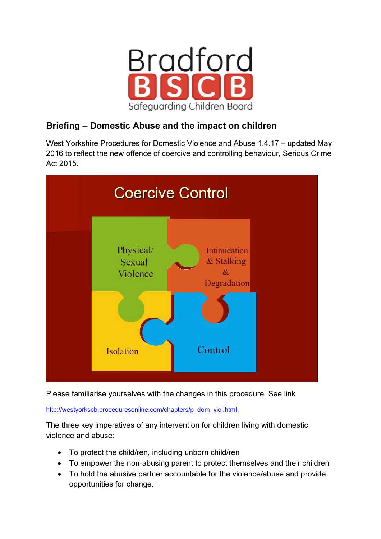

# Briefing – Domestic Abuse and the impact on children

West Yorkshire Procedures for Domestic Violence and Abuse 1.4.17 – updated May 2016 to reflect the new offence of coercive and controlling behaviour, Serious Crime Act 2015.



Please familiarise yourselves with the changes in this procedure. See link

http://westyorkscb.proceduresonline.com/chapters/p\_dom\_viol.html

The three key imperatives of any intervention for children living with domestic violence and abuse:

- To protect the child/ren, including unborn child/ren
- To empower the non-abusing parent to protect themselves and their children
- To hold the abusive partner accountable for the violence/abuse and provide opportunities for change.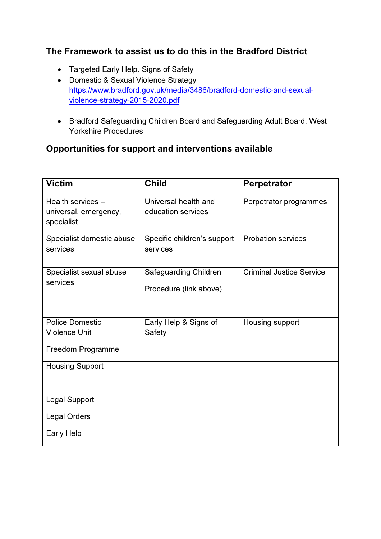# The Framework to assist us to do this in the Bradford District

- Targeted Early Help. Signs of Safety
- Domestic & Sexual Violence Strategy https://www.bradford.gov.uk/media/3486/bradford-domestic-and-sexualviolence-strategy-2015-2020.pdf
- Bradford Safeguarding Children Board and Safeguarding Adult Board, West Yorkshire Procedures

# Opportunities for support and interventions available

| <b>Victim</b>                                            | <b>Child</b>                                    | <b>Perpetrator</b>              |
|----------------------------------------------------------|-------------------------------------------------|---------------------------------|
| Health services -<br>universal, emergency,<br>specialist | Universal health and<br>education services      | Perpetrator programmes          |
| Specialist domestic abuse<br>services                    | Specific children's support<br>services         | <b>Probation services</b>       |
| Specialist sexual abuse<br>services                      | Safeguarding Children<br>Procedure (link above) | <b>Criminal Justice Service</b> |
| <b>Police Domestic</b><br><b>Violence Unit</b>           | Early Help & Signs of<br>Safety                 | Housing support                 |
| Freedom Programme                                        |                                                 |                                 |
| <b>Housing Support</b>                                   |                                                 |                                 |
| <b>Legal Support</b>                                     |                                                 |                                 |
| <b>Legal Orders</b>                                      |                                                 |                                 |
| <b>Early Help</b>                                        |                                                 |                                 |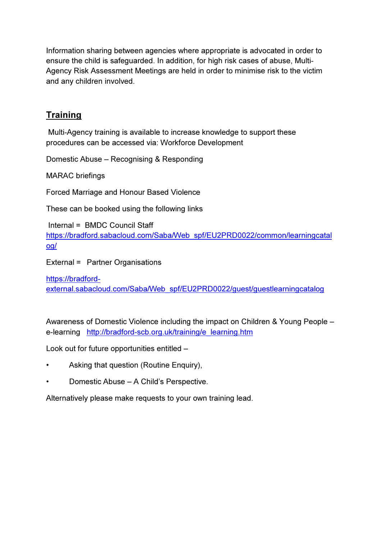Information sharing between agencies where appropriate is advocated in order to ensure the child is safeguarded. In addition, for high risk cases of abuse, Multi-Agency Risk Assessment Meetings are held in order to minimise risk to the victim and any children involved.

# **Training**

 Multi-Agency training is available to increase knowledge to support these procedures can be accessed via: Workforce Development

Domestic Abuse – Recognising & Responding

MARAC briefings

Forced Marriage and Honour Based Violence

These can be booked using the following links

 Internal = BMDC Council Staff https://bradford.sabacloud.com/Saba/Web\_spf/EU2PRD0022/common/learningcatal og/

External = Partner Organisations

https://bradfordexternal.sabacloud.com/Saba/Web\_spf/EU2PRD0022/guest/guestlearningcatalog

Awareness of Domestic Violence including the impact on Children & Young People – e-learning http://bradford-scb.org.uk/training/e\_learning.htm

Look out for future opportunities entitled –

- Asking that question (Routine Enquiry),
- Domestic Abuse A Child's Perspective.

Alternatively please make requests to your own training lead.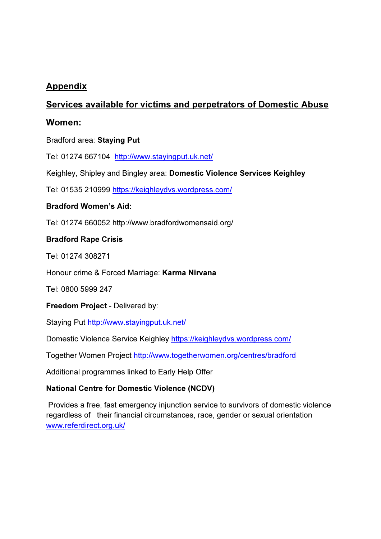# Appendix

## Services available for victims and perpetrators of Domestic Abuse

## Women:

Bradford area: Staying Put

Tel: 01274 667104 http://www.stayingput.uk.net/

Keighley, Shipley and Bingley area: Domestic Violence Services Keighley

Tel: 01535 210999 https://keighleydvs.wordpress.com/

### Bradford Women's Aid:

Tel: 01274 660052 http://www.bradfordwomensaid.org/

### Bradford Rape Crisis

Tel: 01274 308271

Honour crime & Forced Marriage: Karma Nirvana

Tel: 0800 5999 247

Freedom Project - Delivered by:

Staying Put http://www.stayingput.uk.net/

Domestic Violence Service Keighley https://keighleydvs.wordpress.com/

Together Women Project http://www.togetherwomen.org/centres/bradford

Additional programmes linked to Early Help Offer

### National Centre for Domestic Violence (NCDV)

 Provides a free, fast emergency injunction service to survivors of domestic violence regardless of their financial circumstances, race, gender or sexual orientation www.referdirect.org.uk/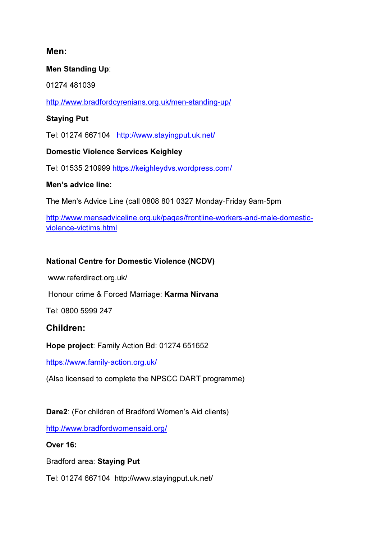## Men:

### Men Standing Up:

01274 481039

http://www.bradfordcyrenians.org.uk/men-standing-up/

### Staying Put

Tel: 01274 667104 http://www.stayingput.uk.net/

Domestic Violence Services Keighley

Tel: 01535 210999 https://keighleydvs.wordpress.com/

### Men's advice line:

The Men's Advice Line (call 0808 801 0327 Monday-Friday 9am-5pm

http://www.mensadviceline.org.uk/pages/frontline-workers-and-male-domesticviolence-victims.html

### National Centre for Domestic Violence (NCDV)

www.referdirect.org.uk/

Honour crime & Forced Marriage: Karma Nirvana

Tel: 0800 5999 247

## Children:

Hope project: Family Action Bd: 01274 651652

https://www.family-action.org.uk/

(Also licensed to complete the NPSCC DART programme)

## Dare2: (For children of Bradford Women's Aid clients)

http://www.bradfordwomensaid.org/

Over 16:

Bradford area: Staying Put

Tel: 01274 667104 http://www.stayingput.uk.net/